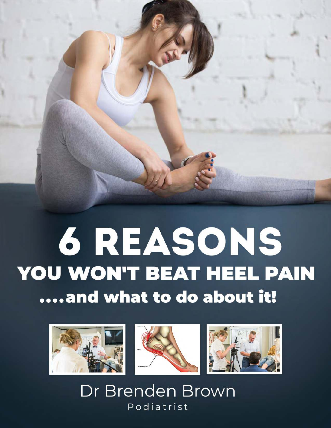



Dr Brenden Brown Podiatrist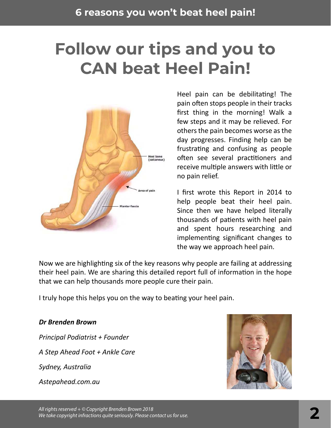## **Follow our tips and you to CAN beat Heel Pain!**



Heel pain can be debilitating! The pain often stops people in their tracks first thing in the morning! Walk a few steps and it may be relieved. For others the pain becomes worse as the day progresses. Finding help can be frustrating and confusing as people often see several practitioners and receive multiple answers with little or no pain relief.

I first wrote this Report in 2014 to help people beat their heel pain. Since then we have helped literally thousands of patients with heel pain and spent hours researching and implementing significant changes to the way we approach heel pain.

Now we are highlighting six of the key reasons why people are failing at addressing their heel pain. We are sharing this detailed report full of information in the hope that we can help thousands more people cure their pain.

I truly hope this helps you on the way to beating your heel pain.

#### *Dr Brenden Brown*

*Principal Podiatrist + Founder A Step Ahead Foot + Ankle Care Sydney, Australia Astepahead.com.au*

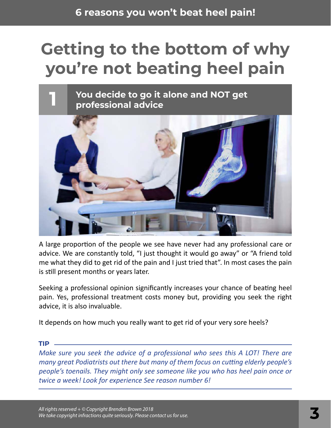# **Getting to the bottom of why you're not beating heel pain**



A large proportion of the people we see have never had any professional care or advice. We are constantly told, "I just thought it would go away" or "A friend told me what they did to get rid of the pain and I just tried that". In most cases the pain is still present months or years later.

Seeking a professional opinion significantly increases your chance of beating heel pain. Yes, professional treatment costs money but, providing you seek the right advice, it is also invaluable.

It depends on how much you really want to get rid of your very sore heels?

**TIP**

*Make sure you seek the advice of a professional who sees this A LOT! There are many great Podiatrists out there but many of them focus on cutting elderly people's people's toenails. They might only see someone like you who has heel pain once or twice a week! Look for experience See reason number 6!*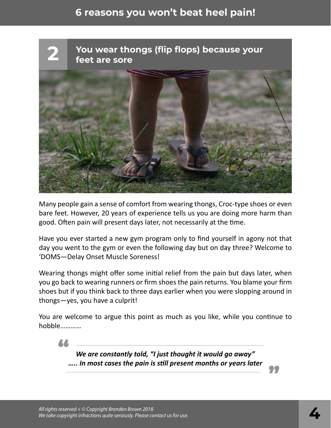

Many people gain a sense of comfort from wearing thongs, Croc-type shoes or even bare feet. However, 20 years of experience tells us you are doing more harm than good. Often pain will present days later, not necessarily at the time.

Have you ever started a new gym program only to find yourself in agony not that day you went to the gym or even the following day but on day three? Welcome to 'DOMS—Delay Onset Muscle Soreness!

Wearing thongs might offer some initial relief from the pain but days later, when you go back to wearing runners or firm shoes the pain returns. You blame your firm shoes but if you think back to three days earlier when you were slopping around in thongs—yes, you have a culprit!

You are welcome to argue this point as much as you like, while you continue to hobble…………

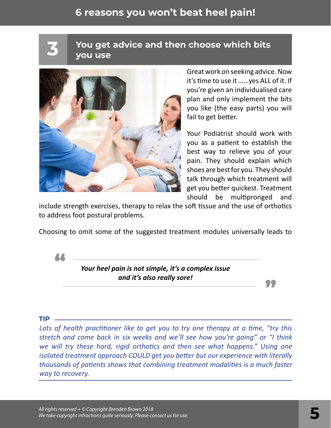**You get advice and then choose which bits 3 you use**



Great work on seeking advice. Now it's time to use it ……yes ALL of it. If you're given an individualised care plan and only implement the bits you like (the easy parts) you will fail to get better.

Your Podiatrist should work with you as a patient to establish the best way to relieve you of your pain. They should explain which shoes are best for you. They should talk through which treatment will get you better quickest. Treatment should be multipronged and

"

include strength exercises, therapy to relax the soft tissue and the use of orthotics to address foot postural problems.

Choosing to omit some of the suggested treatment modules universally leads to



*Your heel pain is not simple, it's a complex issue and it's also really sore!*

#### **TIP**

*Lots of health practitioner like to get you to try one therapy at a time, "try this stretch and come back in six weeks and we'll see how you're going" or "I think we will try these hard, rigid orthotics and then see what happens." Using one isolated treatment approach COULD get you better but our experience with literally thousands of patients shows that combining treatment modalities is a much faster way to recovery.*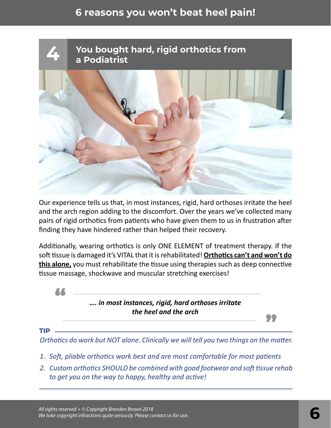

Our experience tells us that, in most instances, rigid, hard orthoses irritate the heel and the arch region adding to the discomfort. Over the years we've collected many pairs of rigid orthotics from patients who have given them to us in frustration after finding they have hindered rather than helped their recovery.

Additionally, wearing orthotics is only ONE ELEMENT of treatment therapy. If the soft tissue is damaged it's VITAL that it is rehabilitated! **Orthotics can't and won't do this alone,** you must rehabilitate the tissue using therapies such as deep connective tissue massage, shockwave and muscular stretching exercises!



**TIP**

*Orthotics do work but NOT alone. Clinically we will tell you two things on the matter.*

- *1. Soft, pliable orthotics work best and are most comfortable for most patients*
- *2. Custom orthotics SHOULD be combined with good footwear and soft tissue rehab to get you on the way to happy, healthy and active!*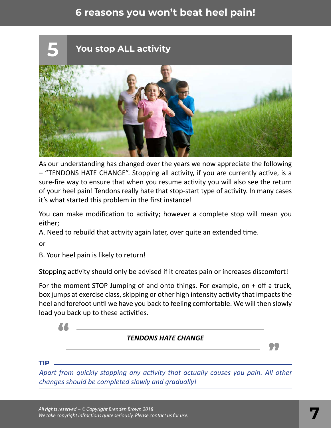

As our understanding has changed over the years we now appreciate the following – "TENDONS HATE CHANGE". Stopping all activity, if you are currently active, is a sure-fire way to ensure that when you resume activity you will also see the return of your heel pain! Tendons really hate that stop-start type of activity. In many cases it's what started this problem in the first instance!

You can make modification to activity; however a complete stop will mean you either;

A. Need to rebuild that activity again later, over quite an extended time.

or

B. Your heel pain is likely to return!

Stopping activity should only be advised if it creates pain or increases discomfort!

For the moment STOP Jumping of and onto things. For example, on + off a truck, box jumps at exercise class, skipping or other high intensity activity that impacts the heel and forefoot until we have you back to feeling comfortable. We will then slowly load you back up to these activities.

### " *TENDONS HATE CHANGE* "

**TIP**

*Apart from quickly stopping any activity that actually causes you pain. All other changes should be completed slowly and gradually!*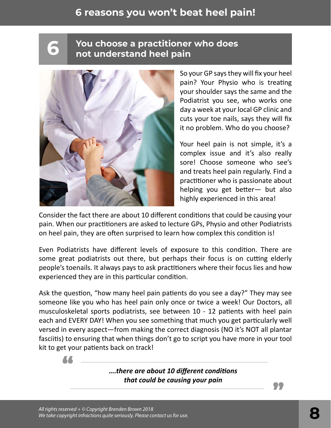# **You choose a practitioner who does 6 not understand heel pain**



So your GP says they will fix your heel pain? Your Physio who is treating your shoulder says the same and the Podiatrist you see, who works one day a week at your local GP clinic and cuts your toe nails, says they will fix it no problem. Who do you choose?

Your heel pain is not simple, it's a complex issue and it's also really sore! Choose someone who see's and treats heel pain regularly. Find a practitioner who is passionate about helping you get better— but also highly experienced in this area!

Consider the fact there are about 10 different conditions that could be causing your pain. When our practitioners are asked to lecture GPs, Physio and other Podiatrists on heel pain, they are often surprised to learn how complex this condition is!

Even Podiatrists have different levels of exposure to this condition. There are some great podiatrists out there, but perhaps their focus is on cutting elderly people's toenails. It always pays to ask practitioners where their focus lies and how experienced they are in this particular condition.

Ask the question, "how many heel pain patients do you see a day?" They may see someone like you who has heel pain only once or twice a week! Our Doctors, all musculoskeletal sports podiatrists, see between 10 - 12 patients with heel pain each and EVERY DAY! When you see something that much you get particularly well versed in every aspect—from making the correct diagnosis (NO it's NOT all plantar fasciitis) to ensuring that when things don't go to script you have more in your tool kit to get your patients back on track! "

*….there are about 10 different conditions that could be causing your pain*

"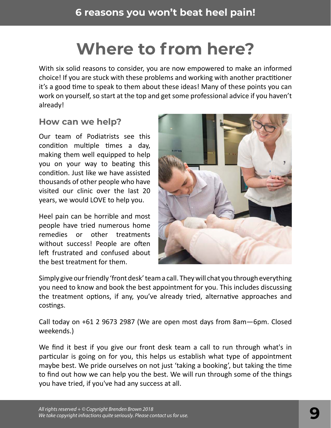## **Where to from here?**

With six solid reasons to consider, you are now empowered to make an informed choice! If you are stuck with these problems and working with another practitioner it's a good time to speak to them about these ideas! Many of these points you can work on yourself, so start at the top and get some professional advice if you haven't already!

#### **How can we help?**

Our team of Podiatrists see this condition multiple times a day, making them well equipped to help you on your way to beating this condition. Just like we have assisted thousands of other people who have visited our clinic over the last 20 years, we would LOVE to help you.

Heel pain can be horrible and most people have tried numerous home remedies or other treatments without success! People are often left frustrated and confused about the best treatment for them.



Simply give our friendly 'front desk' team a call. They will chat you through everything you need to know and book the best appointment for you. This includes discussing the treatment options, if any, you've already tried, alternative approaches and costings.

Call today on +61 2 9673 2987 (We are open most days from 8am—6pm. Closed weekends.)

We find it best if you give our front desk team a call to run through what's in particular is going on for you, this helps us establish what type of appointment maybe best. We pride ourselves on not just 'taking a booking', but taking the time to find out how we can help you the best. We will run through some of the things you have tried, if you've had any success at all.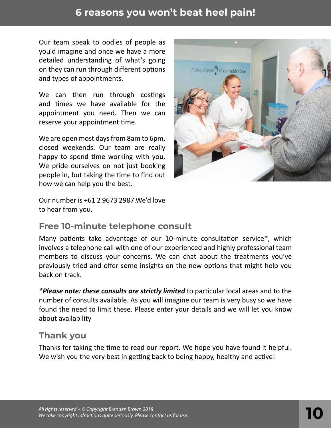Our team speak to oodles of people as you'd imagine and once we have a more detailed understanding of what's going on they can run through different options and types of appointments.

We can then run through costings and times we have available for the appointment you need. Then we can reserve your appointment time.

We are open most days from 8am to 6pm, closed weekends. Our team are really happy to spend time working with you. We pride ourselves on not just booking people in, but taking the time to find out how we can help you the best.





#### **Free 10-minute telephone consult**

Many patients take advantage of our 10-minute consultation service\*, which involves a telephone call with one of our experienced and highly professional team members to discuss your concerns. We can chat about the treatments you've previously tried and offer some insights on the new options that might help you back on track.

*\*Please note: these consults are strictly limited* to particular local areas and to the number of consults available. As you will imagine our team is very busy so we have found the need to limit these. Please enter your details and we will let you know about availability

#### **Thank you**

Thanks for taking the time to read our report. We hope you have found it helpful. We wish you the very best in getting back to being happy, healthy and active!